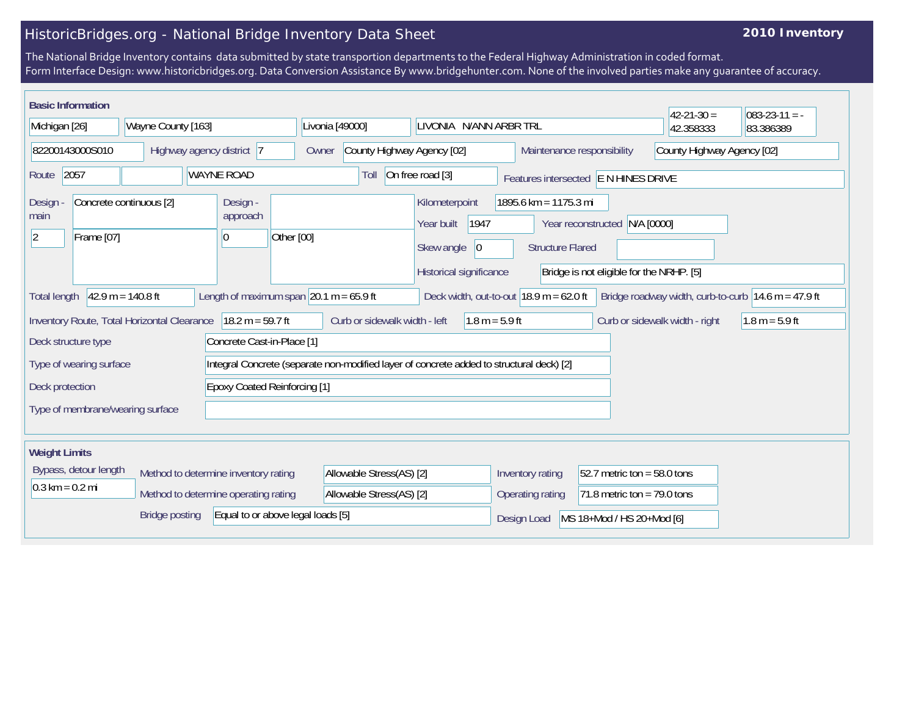## HistoricBridges.org - National Bridge Inventory Data Sheet

## **2010 Inventory**

The National Bridge Inventory contains data submitted by state transportion departments to the Federal Highway Administration in coded format. Form Interface Design: www.historicbridges.org. Data Conversion Assistance By www.bridgehunter.com. None of the involved parties make any guarantee of accuracy.

| <b>Basic Information</b>                                                                                                                                                                                                  |  |                    |                                                                                          |                                                                  |                          |                                     |                                                   |            |                                                                                                                                  |                  |                               |                            | $42 - 21 - 30 =$ | $ 083-23-11 $ = - |
|---------------------------------------------------------------------------------------------------------------------------------------------------------------------------------------------------------------------------|--|--------------------|------------------------------------------------------------------------------------------|------------------------------------------------------------------|--------------------------|-------------------------------------|---------------------------------------------------|------------|----------------------------------------------------------------------------------------------------------------------------------|------------------|-------------------------------|----------------------------|------------------|-------------------|
| Michigan [26]                                                                                                                                                                                                             |  | Wayne County [163] |                                                                                          |                                                                  |                          | Livonia [49000]                     |                                                   |            | LIVONIA N/ANN ARBR TRL                                                                                                           |                  |                               | 42.358333                  | 83.386389        |                   |
| 82200143000S010                                                                                                                                                                                                           |  |                    | Highway agency district 7                                                                |                                                                  |                          | County Highway Agency [02]<br>Owner |                                                   |            | Maintenance responsibility                                                                                                       |                  |                               | County Highway Agency [02] |                  |                   |
| 2057<br><b>WAYNE ROAD</b><br>Route                                                                                                                                                                                        |  |                    |                                                                                          | On free road [3]<br>Toll<br>Features intersected E N HINES DRIVE |                          |                                     |                                                   |            |                                                                                                                                  |                  |                               |                            |                  |                   |
| Concrete continuous [2]<br>Design<br>main<br>$ 2\rangle$<br>Frame [07]                                                                                                                                                    |  |                    | Design -<br>approach<br> 0                                                               | Other [00]                                                       |                          |                                     | Kilometerpoint<br>Year built<br>Skew angle        | 1947<br> 0 | 1895.6 km = 1175.3 mi<br>N/A [0000]<br>Year reconstructed<br><b>Structure Flared</b><br>Bridge is not eligible for the NRHP. [5] |                  |                               |                            |                  |                   |
| Historical significance<br>Length of maximum span $ 20.1 m = 65.9 ft$<br>$42.9 m = 140.8 ft$<br>Deck width, out-to-out $18.9$ m = 62.0 ft<br>Bridge roadway width, curb-to-curb $14.6$ m = 47.9 ft<br><b>Total length</b> |  |                    |                                                                                          |                                                                  |                          |                                     |                                                   |            |                                                                                                                                  |                  |                               |                            |                  |                   |
| Inventory Route, Total Horizontal Clearance<br>$18.2 m = 59.7 ft$<br>Curb or sidewalk width - left<br>$1.8 m = 5.9 ft$<br>Curb or sidewalk width - right<br>$1.8 m = 5.9 ft$                                              |  |                    |                                                                                          |                                                                  |                          |                                     |                                                   |            |                                                                                                                                  |                  |                               |                            |                  |                   |
| Concrete Cast-in-Place [1]<br>Deck structure type                                                                                                                                                                         |  |                    |                                                                                          |                                                                  |                          |                                     |                                                   |            |                                                                                                                                  |                  |                               |                            |                  |                   |
| Type of wearing surface                                                                                                                                                                                                   |  |                    | Integral Concrete (separate non-modified layer of concrete added to structural deck) [2] |                                                                  |                          |                                     |                                                   |            |                                                                                                                                  |                  |                               |                            |                  |                   |
| <b>Epoxy Coated Reinforcing [1]</b><br>Deck protection                                                                                                                                                                    |  |                    |                                                                                          |                                                                  |                          |                                     |                                                   |            |                                                                                                                                  |                  |                               |                            |                  |                   |
| Type of membrane/wearing surface                                                                                                                                                                                          |  |                    |                                                                                          |                                                                  |                          |                                     |                                                   |            |                                                                                                                                  |                  |                               |                            |                  |                   |
| <b>Weight Limits</b>                                                                                                                                                                                                      |  |                    |                                                                                          |                                                                  |                          |                                     |                                                   |            |                                                                                                                                  |                  |                               |                            |                  |                   |
| Bypass, detour length<br>Method to determine inventory rating                                                                                                                                                             |  |                    |                                                                                          |                                                                  | Allowable Stress(AS) [2] |                                     |                                                   |            |                                                                                                                                  | Inventory rating | $52.7$ metric ton = 58.0 tons |                            |                  |                   |
| $0.3 \text{ km} = 0.2 \text{ mi}$<br>Method to determine operating rating                                                                                                                                                 |  |                    |                                                                                          | Allowable Stress(AS) [2]                                         |                          |                                     | 71.8 metric ton = $79.0$ tons<br>Operating rating |            |                                                                                                                                  |                  |                               |                            |                  |                   |
| <b>Bridge posting</b><br>Equal to or above legal loads [5]                                                                                                                                                                |  |                    |                                                                                          |                                                                  |                          |                                     | MS 18+Mod / HS 20+Mod [6]<br>Design Load          |            |                                                                                                                                  |                  |                               |                            |                  |                   |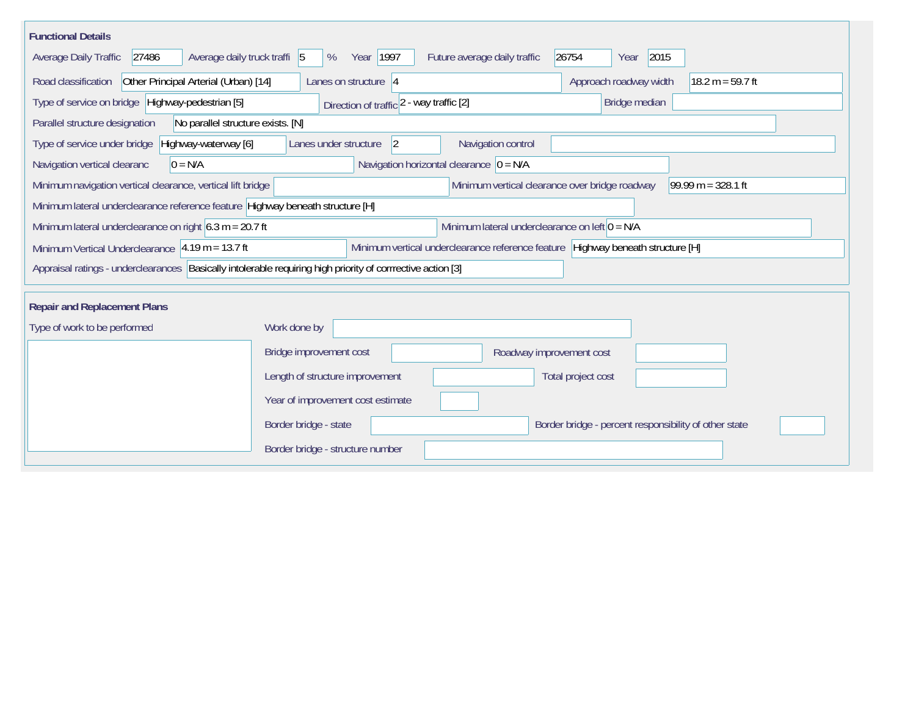| <b>Functional Details</b><br>Average daily truck traffi 5<br>Average Daily Traffic<br>27486                                                             | Year 1997<br>%                                    | Future average daily traffic                     | 2015<br>26754<br>Year                                 |  |  |  |  |  |
|---------------------------------------------------------------------------------------------------------------------------------------------------------|---------------------------------------------------|--------------------------------------------------|-------------------------------------------------------|--|--|--|--|--|
| Road classification<br>Other Principal Arterial (Urban) [14]                                                                                            | Lanes on structure $ 4$                           |                                                  | Approach roadway width<br>$18.2 m = 59.7 ft$          |  |  |  |  |  |
| Type of service on bridge Highway-pedestrian [5]<br>Direction of traffic 2 - way traffic [2]<br>Bridge median                                           |                                                   |                                                  |                                                       |  |  |  |  |  |
| Parallel structure designation<br>No parallel structure exists. [N]                                                                                     |                                                   |                                                  |                                                       |  |  |  |  |  |
| Type of service under bridge<br>Highway-waterway [6]                                                                                                    | Navigation control<br>Lanes under structure<br> 2 |                                                  |                                                       |  |  |  |  |  |
| Navigation horizontal clearance $ 0 = N/A$<br>Navigation vertical clearanc<br>$0 = N/A$                                                                 |                                                   |                                                  |                                                       |  |  |  |  |  |
| Minimum navigation vertical clearance, vertical lift bridge                                                                                             |                                                   | Minimum vertical clearance over bridge roadway   | 99.99 m = $328.1$ ft                                  |  |  |  |  |  |
| Minimum lateral underclearance reference feature Highway beneath structure [H]                                                                          |                                                   |                                                  |                                                       |  |  |  |  |  |
| Minimum lateral underclearance on right $6.3$ m = 20.7 ft                                                                                               |                                                   | Minimum lateral underclearance on left $0 = N/A$ |                                                       |  |  |  |  |  |
| Minimum vertical underclearance reference feature Highway beneath structure [H]<br>Minimum Vertical Underclearance $ 4.19 \text{ m} = 13.7 \text{ ft} $ |                                                   |                                                  |                                                       |  |  |  |  |  |
| Appraisal ratings - underclearances Basically intolerable requiring high priority of corrrective action [3]                                             |                                                   |                                                  |                                                       |  |  |  |  |  |
| <b>Repair and Replacement Plans</b>                                                                                                                     |                                                   |                                                  |                                                       |  |  |  |  |  |
| Type of work to be performed<br>Work done by                                                                                                            |                                                   |                                                  |                                                       |  |  |  |  |  |
|                                                                                                                                                         | Bridge improvement cost                           | Roadway improvement cost                         |                                                       |  |  |  |  |  |
|                                                                                                                                                         | Length of structure improvement                   |                                                  | Total project cost                                    |  |  |  |  |  |
|                                                                                                                                                         | Year of improvement cost estimate                 |                                                  |                                                       |  |  |  |  |  |
|                                                                                                                                                         | Border bridge - state                             |                                                  | Border bridge - percent responsibility of other state |  |  |  |  |  |
|                                                                                                                                                         | Border bridge - structure number                  |                                                  |                                                       |  |  |  |  |  |